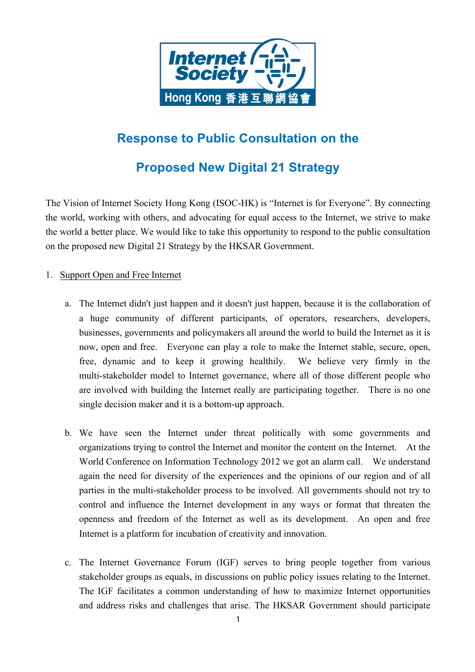

# **Response to Public Consultation on the**

# **Proposed New Digital 21 Strategy**

The Vision of Internet Society Hong Kong (ISOC-HK) is "Internet is for Everyone". By connecting the world, working with others, and advocating for equal access to the Internet, we strive to make the world a better place. We would like to take this opportunity to respond to the public consultation on the proposed new Digital 21 Strategy by the HKSAR Government.

## 1. Support Open and Free Internet

- now, open and free. Everyone can play a role to make the Internet stable, secure, open, are involved with building the Internet really are participating together. There is no one a. The Internet didn't just happen and it doesn't just happen, because it is the collaboration of a huge community of different participants, of operators, researchers, developers, businesses, governments and policymakers all around the world to build the Internet as it is free, dynamic and to keep it growing healthily. We believe very firmly in the multi-stakeholder model to Internet governance, where all of those different people who single decision maker and it is a bottom-up approach.
- b. We have seen the Internet under threat politically with some governments and organizations trying to control the Internet and monitor the content on the Internet. At the World Conference on Information Technology 2012 we got an alarm call. We understand again the need for diversity of the experiences and the opinions of our region and of all parties in the multi-stakeholder process to be involved. All governments should not try to control and influence the Internet development in any ways or format that threaten the openness and freedom of the Internet as well as its development. An open and free Internet is a platform for incubation of creativity and innovation.
- c. The Internet Governance Forum (IGF) serves to bring people together from various stakeholder groups as equals, in discussions on public policy issues relating to the Internet. The IGF facilitates a common understanding of how to maximize Internet opportunities and address risks and challenges that arise. The HKSAR Government should participate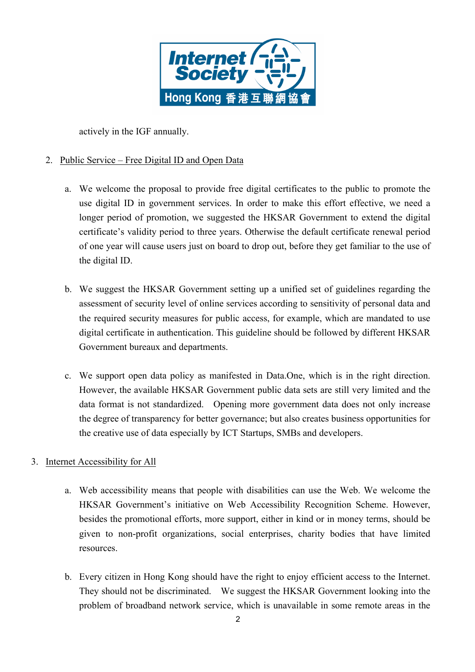

actively in the IGF annually.

# 2. Public Service – Free Digital ID and Open Data

- certificate's validity period to three years. Otherwise the default certificate renewal period a. We welcome the proposal to provide free digital certificates to the public to promote the use digital ID in government services. In order to make this effort effective, we need a longer period of promotion, we suggested the HKSAR Government to extend the digital of one year will cause users just on board to drop out, before they get familiar to the use of the digital ID.
- b. We suggest the HKSAR Government setting up a unified set of guidelines regarding the assessment of security level of online services according to sensitivity of personal data and the required security measures for public access, for example, which are mandated to use digital certificate in authentication. This guideline should be followed by different HKSAR Government bureaux and departments.
- c. We support open data policy as manifested in Data.One, which is in the right direction. However, the available HKSAR Government public data sets are still very limited and the the degree of transparency for better governance; but also creates business opportunities for data format is not standardized. Opening more government data does not only increase the creative use of data especially by ICT Startups, SMBs and developers.

#### 3. Internet Accessibility for All

- a. Web accessibility means that people with disabilities can use the Web. We welcome the HKSAR Government's initiative on Web Accessibility Recognition Scheme. However, besides the promotional efforts, more support, either in kind or in money terms, should be given to non-profit organizations, social enterprises, charity bodies that have limited resources.
- They should not be discriminated. We suggest the HKSAR Government looking into the b. Every citizen in Hong Kong should have the right to enjoy efficient access to the Internet. problem of broadband network service, which is unavailable in some remote areas in the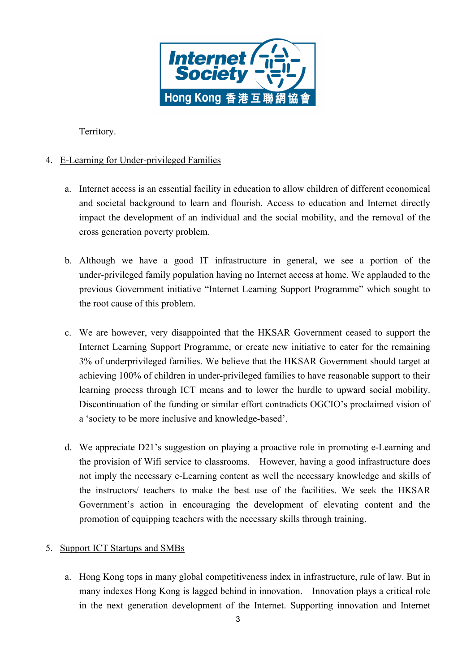

Territory.

# 4. E-Learning for Under-privileged Families

- a. Internet access is an essential facility in education to allow children of different economical and societal background to learn and flourish. Access to education and Internet directly impact the development of an individual and the social mobility, and the removal of the cross generation poverty problem.
- b. Although we have a good IT infrastructure in general, we see a portion of the under-privileged family population having no Internet access at home. We applauded to the previous Government initiative "Internet Learning Support Programme" which sought to the root cause of this problem.
- 3% of underprivileged families. We believe that the HKSAR Government should target at achieving 100% of children in under-privileged families to have reasonable support to their c. We are however, very disappointed that the HKSAR Government ceased to support the Internet Learning Support Programme, or create new initiative to cater for the remaining learning process through ICT means and to lower the hurdle to upward social mobility. Discontinuation of the funding or similar effort contradicts OGCIO's proclaimed vision of a 'society to be more inclusive and knowledge-based'.
- not imply the necessary e-Learning content as well the necessary knowledge and skills of d. We appreciate D21's suggestion on playing a proactive role in promoting e-Learning and the provision of Wifi service to classrooms. However, having a good infrastructure does the instructors/ teachers to make the best use of the facilities. We seek the HKSAR Government's action in encouraging the development of elevating content and the promotion of equipping teachers with the necessary skills through training.

## 5. Support ICT Startups and SMBs

 many indexes Hong Kong is lagged behind in innovation. Innovation plays a critical role a. Hong Kong tops in many global competitiveness index in infrastructure, rule of law. But in in the next generation development of the Internet. Supporting innovation and Internet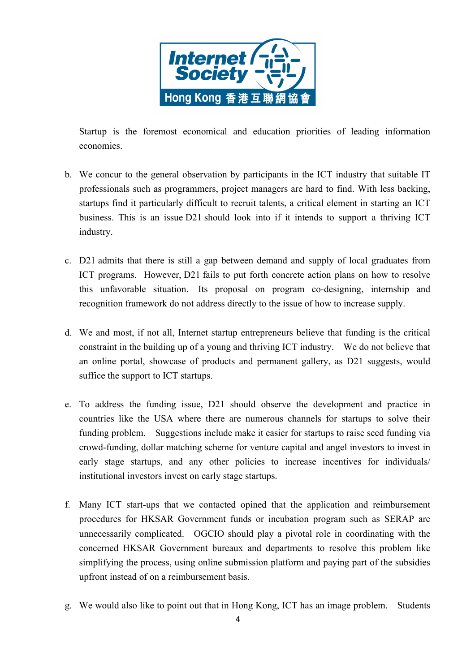

Startup is the foremost economical and education priorities of leading information economies.

- business. This is an issue D21 should look into if it intends to support a thriving ICT b. We concur to the general observation by participants in the ICT industry that suitable IT professionals such as programmers, project managers are hard to find. With less backing, startups find it particularly difficult to recruit talents, a critical element in starting an ICT industry.
- ICT programs. However, D21 fails to put forth concrete action plans on how to resolve c. D21 admits that there is still a gap between demand and supply of local graduates from this unfavorable situation. Its proposal on program co-designing, internship and recognition framework do not address directly to the issue of how to increase supply.
- constraint in the building up of a young and thriving ICT industry. We do not believe that d. We and most, if not all, Internet startup entrepreneurs believe that funding is the critical an online portal, showcase of products and permanent gallery, as D21 suggests, would suffice the support to ICT startups.
- e. To address the funding issue, D21 should observe the development and practice in countries like the USA where there are numerous channels for startups to solve their funding problem. Suggestions include make it easier for startups to raise seed funding via crowd-funding, dollar matching scheme for venture capital and angel investors to invest in early stage startups, and any other policies to increase incentives for individuals/ institutional investors invest on early stage startups.
- concerned HKSAR Government bureaux and departments to resolve this problem like f. Many ICT start-ups that we contacted opined that the application and reimbursement procedures for HKSAR Government funds or incubation program such as SERAP are unnecessarily complicated. OGCIO should play a pivotal role in coordinating with the simplifying the process, using online submission platform and paying part of the subsidies upfront instead of on a reimbursement basis.
- g. We would also like to point out that in Hong Kong, ICT has an image problem. Students